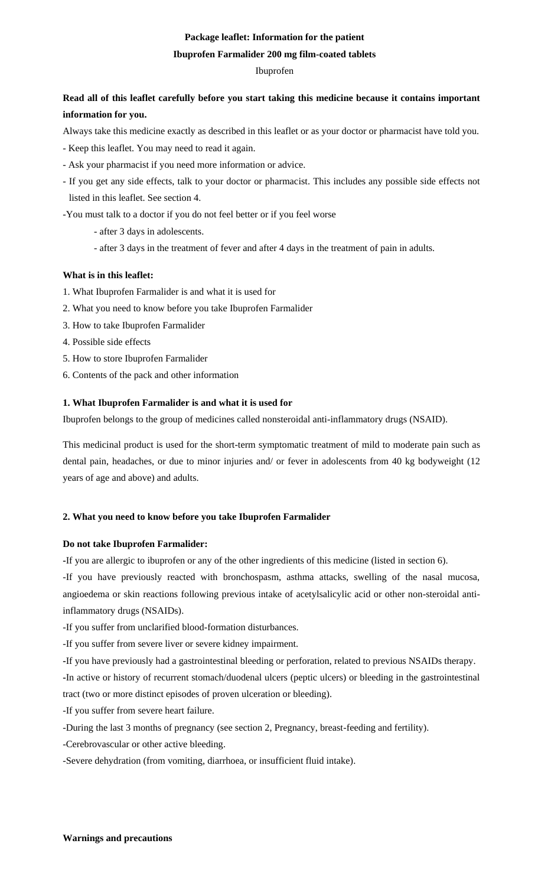## **Package leaflet: Information for the patient**

### **Ibuprofen Farmalider 200 mg film-coated tablets**

## Ibuprofen

# **Read all of this leaflet carefully before you start taking this medicine because it contains important information for you.**

Always take this medicine exactly as described in this leaflet or as your doctor or pharmacist have told you.

- Keep this leaflet. You may need to read it again.
- Ask your pharmacist if you need more information or advice.
- If you get any side effects, talk to your doctor or pharmacist. This includes any possible side effects not listed in this leaflet. See section 4.

-You must talk to a doctor if you do not feel better or if you feel worse

- after 3 days in adolescents.
- after 3 days in the treatment of fever and after 4 days in the treatment of pain in adults.

## **What is in this leaflet:**

- 1. What Ibuprofen Farmalider is and what it is used for
- 2. What you need to know before you take Ibuprofen Farmalider
- 3. How to take Ibuprofen Farmalider
- 4. Possible side effects
- 5. How to store Ibuprofen Farmalider
- 6. Contents of the pack and other information

## **1. What Ibuprofen Farmalider is and what it is used for**

Ibuprofen belongs to the group of medicines called nonsteroidal anti-inflammatory drugs (NSAID).

This medicinal product is used for the short-term symptomatic treatment of mild to moderate pain such as dental pain, headaches, or due to minor injuries and/ or fever in adolescents from 40 kg bodyweight (12 years of age and above) and adults.

### **2. What you need to know before you take Ibuprofen Farmalider**

### **Do not take Ibuprofen Farmalider:**

**-**If you are allergic to ibuprofen or any of the other ingredients of this medicine (listed in section 6).

-If you have previously reacted with bronchospasm, asthma attacks, swelling of the nasal mucosa, angioedema or skin reactions following previous intake of acetylsalicylic acid or other non-steroidal antiinflammatory drugs (NSAIDs).

-If you suffer from unclarified blood-formation disturbances.

-If you suffer from severe liver or severe kidney impairment.

**-**If you have previously had a gastrointestinal bleeding or perforation, related to previous NSAIDs therapy.

**-**In active or history of recurrent stomach/duodenal ulcers (peptic ulcers) or bleeding in the gastrointestinal tract (two or more distinct episodes of proven ulceration or bleeding).

-If you suffer from severe heart failure.

-During the last 3 months of pregnancy (see section 2, Pregnancy, breast-feeding and fertility).

-Cerebrovascular or other active bleeding.

-Severe dehydration (from vomiting, diarrhoea, or insufficient fluid intake).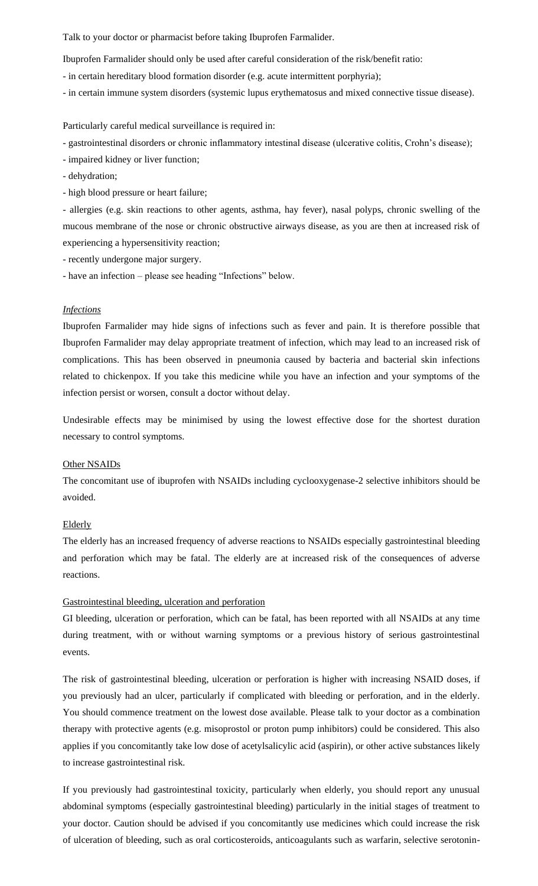Talk to your doctor or pharmacist before taking Ibuprofen Farmalider.

Ibuprofen Farmalider should only be used after careful consideration of the risk/benefit ratio:

- in certain hereditary blood formation disorder (e.g. acute intermittent porphyria);
- in certain immune system disorders (systemic lupus erythematosus and mixed connective tissue disease).

Particularly careful medical surveillance is required in:

- gastrointestinal disorders or chronic inflammatory intestinal disease (ulcerative colitis, Crohn's disease);

- impaired kidney or liver function;

- dehydration;

- high blood pressure or heart failure;

- allergies (e.g. skin reactions to other agents, asthma, hay fever), nasal polyps, chronic swelling of the mucous membrane of the nose or chronic obstructive airways disease, as you are then at increased risk of experiencing a hypersensitivity reaction;

- recently undergone major surgery.
- have an infection please see heading "Infections" below.

#### *Infections*

Ibuprofen Farmalider may hide signs of infections such as fever and pain. It is therefore possible that Ibuprofen Farmalider may delay appropriate treatment of infection, which may lead to an increased risk of complications. This has been observed in pneumonia caused by bacteria and bacterial skin infections related to chickenpox. If you take this medicine while you have an infection and your symptoms of the infection persist or worsen, consult a doctor without delay.

Undesirable effects may be minimised by using the lowest effective dose for the shortest duration necessary to control symptoms.

### Other NSAIDs

The concomitant use of ibuprofen with NSAIDs including cyclooxygenase-2 selective inhibitors should be avoided.

#### Elderly

The elderly has an increased frequency of adverse reactions to NSAIDs especially gastrointestinal bleeding and perforation which may be fatal. The elderly are at increased risk of the consequences of adverse reactions.

#### Gastrointestinal bleeding, ulceration and perforation

GI bleeding, ulceration or perforation, which can be fatal, has been reported with all NSAIDs at any time during treatment, with or without warning symptoms or a previous history of serious gastrointestinal events.

The risk of gastrointestinal bleeding, ulceration or perforation is higher with increasing NSAID doses, if you previously had an ulcer, particularly if complicated with bleeding or perforation, and in the elderly. You should commence treatment on the lowest dose available. Please talk to your doctor as a combination therapy with protective agents (e.g. misoprostol or proton pump inhibitors) could be considered. This also applies if you concomitantly take low dose of acetylsalicylic acid (aspirin), or other active substances likely to increase gastrointestinal risk.

If you previously had gastrointestinal toxicity, particularly when elderly, you should report any unusual abdominal symptoms (especially gastrointestinal bleeding) particularly in the initial stages of treatment to your doctor. Caution should be advised if you concomitantly use medicines which could increase the risk of ulceration of bleeding, such as oral corticosteroids, anticoagulants such as warfarin, selective serotonin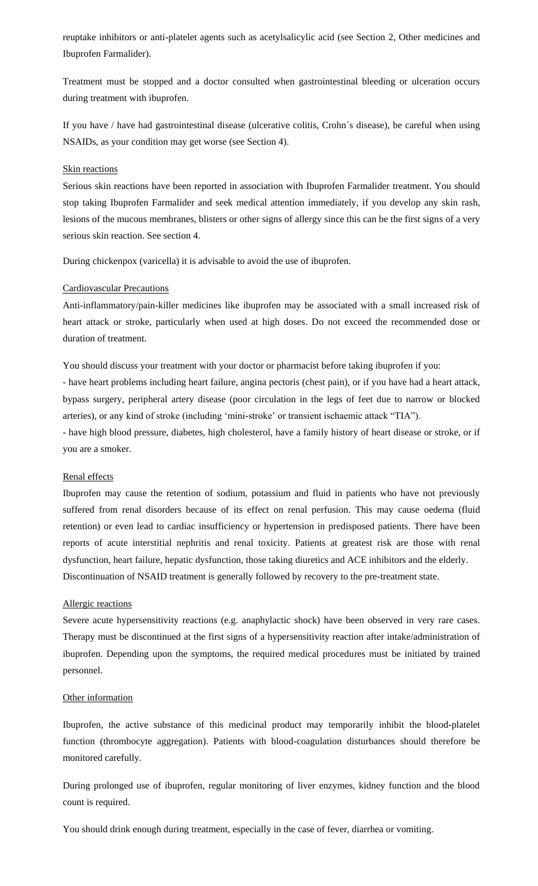reuptake inhibitors or anti-platelet agents such as acetylsalicylic acid (see Section 2, Other medicines and Ibuprofen Farmalider).

Treatment must be stopped and a doctor consulted when gastrointestinal bleeding or ulceration occurs during treatment with ibuprofen.

If you have / have had gastrointestinal disease (ulcerative colitis, Crohn´s disease), be careful when using NSAIDs, as your condition may get worse (see Section 4).

#### Skin reactions

Serious skin reactions have been reported in association with Ibuprofen Farmalider treatment. You should stop taking Ibuprofen Farmalider and seek medical attention immediately, if you develop any skin rash, lesions of the mucous membranes, blisters or other signs of allergy since this can be the first signs of a very serious skin reaction. See section 4.

During chickenpox (varicella) it is advisable to avoid the use of ibuprofen.

#### Cardiovascular Precautions

Anti-inflammatory/pain-killer medicines like ibuprofen may be associated with a small increased risk of heart attack or stroke, particularly when used at high doses. Do not exceed the recommended dose or duration of treatment.

You should discuss your treatment with your doctor or pharmacist before taking ibuprofen if you:

- have heart problems including heart failure, angina pectoris (chest pain), or if you have had a heart attack, bypass surgery, peripheral artery disease (poor circulation in the legs of feet due to narrow or blocked arteries), or any kind of stroke (including 'mini-stroke' or transient ischaemic attack "TIA").

- have high blood pressure, diabetes, high cholesterol, have a family history of heart disease or stroke, or if you are a smoker.

#### Renal effects

Ibuprofen may cause the retention of sodium, potassium and fluid in patients who have not previously suffered from renal disorders because of its effect on renal perfusion. This may cause oedema (fluid retention) or even lead to cardiac insufficiency or hypertension in predisposed patients. There have been reports of acute interstitial nephritis and renal toxicity. Patients at greatest risk are those with renal dysfunction, heart failure, hepatic dysfunction, those taking diuretics and ACE inhibitors and the elderly. Discontinuation of NSAID treatment is generally followed by recovery to the pre-treatment state.

#### Allergic reactions

Severe acute hypersensitivity reactions (e.g. anaphylactic shock) have been observed in very rare cases. Therapy must be discontinued at the first signs of a hypersensitivity reaction after intake/administration of ibuprofen. Depending upon the symptoms, the required medical procedures must be initiated by trained personnel.

#### Other information

Ibuprofen, the active substance of this medicinal product may temporarily inhibit the blood-platelet function (thrombocyte aggregation). Patients with blood-coagulation disturbances should therefore be monitored carefully.

During prolonged use of ibuprofen, regular monitoring of liver enzymes, kidney function and the blood count is required.

You should drink enough during treatment, especially in the case of fever, diarrhea or vomiting.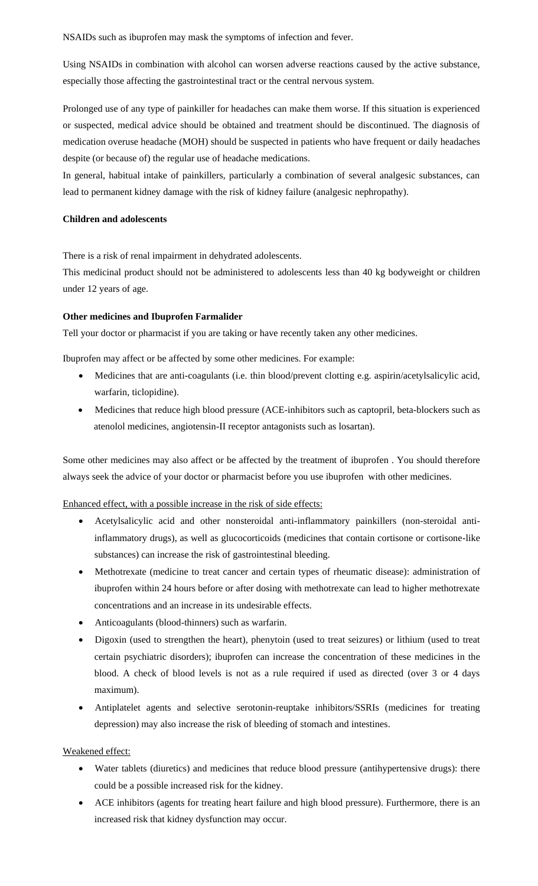NSAIDs such as ibuprofen may mask the symptoms of infection and fever.

Using NSAIDs in combination with alcohol can worsen adverse reactions caused by the active substance, especially those affecting the gastrointestinal tract or the central nervous system.

Prolonged use of any type of painkiller for headaches can make them worse. If this situation is experienced or suspected, medical advice should be obtained and treatment should be discontinued. The diagnosis of medication overuse headache (MOH) should be suspected in patients who have frequent or daily headaches despite (or because of) the regular use of headache medications.

In general, habitual intake of painkillers, particularly a combination of several analgesic substances, can lead to permanent kidney damage with the risk of kidney failure (analgesic nephropathy).

## **Children and adolescents**

There is a risk of renal impairment in dehydrated adolescents.

This medicinal product should not be administered to adolescents less than 40 kg bodyweight or children under 12 years of age.

## **Other medicines and Ibuprofen Farmalider**

Tell your doctor or pharmacist if you are taking or have recently taken any other medicines.

Ibuprofen may affect or be affected by some other medicines. For example:

- Medicines that are anti-coagulants (i.e. thin blood/prevent clotting e.g. aspirin/acetylsalicylic acid, warfarin, ticlopidine).
- Medicines that reduce high blood pressure (ACE-inhibitors such as captopril, beta-blockers such as atenolol medicines, angiotensin-II receptor antagonists such as losartan).

Some other medicines may also affect or be affected by the treatment of ibuprofen . You should therefore always seek the advice of your doctor or pharmacist before you use ibuprofen with other medicines.

Enhanced effect, with a possible increase in the risk of side effects:

- Acetylsalicylic acid and other nonsteroidal anti-inflammatory painkillers (non-steroidal antiinflammatory drugs), as well as glucocorticoids (medicines that contain cortisone or cortisone-like substances) can increase the risk of gastrointestinal bleeding.
- Methotrexate (medicine to treat cancer and certain types of rheumatic disease): administration of ibuprofen within 24 hours before or after dosing with methotrexate can lead to higher methotrexate concentrations and an increase in its undesirable effects.
- Anticoagulants (blood-thinners) such as warfarin.
- Digoxin (used to strengthen the heart), phenytoin (used to treat seizures) or lithium (used to treat certain psychiatric disorders); ibuprofen can increase the concentration of these medicines in the blood. A check of blood levels is not as a rule required if used as directed (over 3 or 4 days maximum).
- Antiplatelet agents and selective serotonin-reuptake inhibitors/SSRIs (medicines for treating depression) may also increase the risk of bleeding of stomach and intestines.

## Weakened effect:

- Water tablets (diuretics) and medicines that reduce blood pressure (antihypertensive drugs): there could be a possible increased risk for the kidney.
- ACE inhibitors (agents for treating heart failure and high blood pressure). Furthermore, there is an increased risk that kidney dysfunction may occur.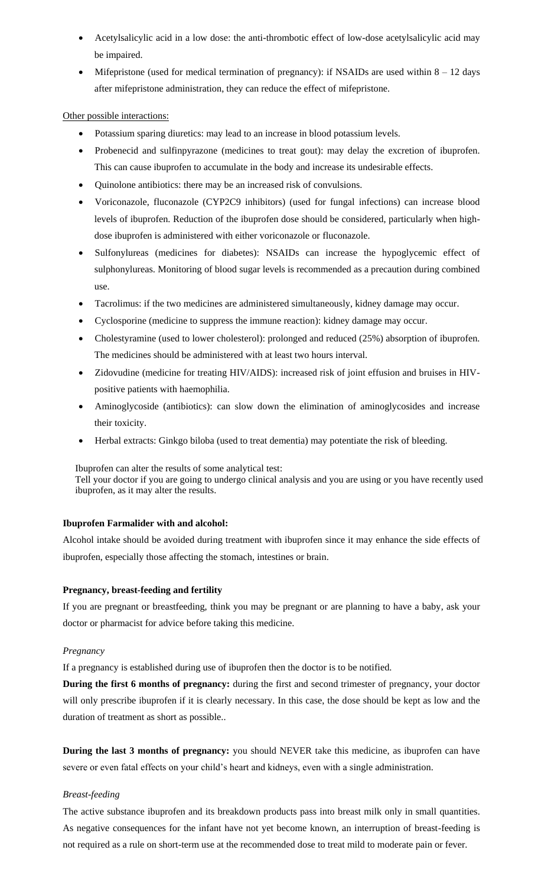- Acetylsalicylic acid in a low dose: the anti-thrombotic effect of low-dose acetylsalicylic acid may be impaired.
- Mifepristone (used for medical termination of pregnancy): if NSAIDs are used within  $8 12$  days after mifepristone administration, they can reduce the effect of mifepristone.

Other possible interactions:

- Potassium sparing diuretics: may lead to an increase in blood potassium levels.
- Probenecid and sulfinpyrazone (medicines to treat gout): may delay the excretion of ibuprofen. This can cause ibuprofen to accumulate in the body and increase its undesirable effects.
- Quinolone antibiotics: there may be an increased risk of convulsions.
- Voriconazole, fluconazole (CYP2C9 inhibitors) (used for fungal infections) can increase blood levels of ibuprofen. Reduction of the ibuprofen dose should be considered, particularly when highdose ibuprofen is administered with either voriconazole or fluconazole.
- Sulfonylureas (medicines for diabetes): NSAIDs can increase the hypoglycemic effect of sulphonylureas. Monitoring of blood sugar levels is recommended as a precaution during combined use.
- Tacrolimus: if the two medicines are administered simultaneously, kidney damage may occur.
- Cyclosporine (medicine to suppress the immune reaction): kidney damage may occur.
- Cholestyramine (used to lower cholesterol): prolonged and reduced (25%) absorption of ibuprofen. The medicines should be administered with at least two hours interval.
- Zidovudine (medicine for treating HIV/AIDS): increased risk of joint effusion and bruises in HIVpositive patients with haemophilia.
- Aminoglycoside (antibiotics): can slow down the elimination of aminoglycosides and increase their toxicity.
- Herbal extracts: Ginkgo biloba (used to treat dementia) may potentiate the risk of bleeding.

Ibuprofen can alter the results of some analytical test:

Tell your doctor if you are going to undergo clinical analysis and you are using or you have recently used ibuprofen, as it may alter the results.

## **Ibuprofen Farmalider with and alcohol:**

Alcohol intake should be avoided during treatment with ibuprofen since it may enhance the side effects of ibuprofen, especially those affecting the stomach, intestines or brain.

### **Pregnancy, breast-feeding and fertility**

If you are pregnant or breastfeeding, think you may be pregnant or are planning to have a baby, ask your doctor or pharmacist for advice before taking this medicine.

### *Pregnancy*

If a pregnancy is established during use of ibuprofen then the doctor is to be notified.

**During the first 6 months of pregnancy:** during the first and second trimester of pregnancy, your doctor will only prescribe ibuprofen if it is clearly necessary. In this case, the dose should be kept as low and the duration of treatment as short as possible..

**During the last 3 months of pregnancy:** you should NEVER take this medicine, as ibuprofen can have severe or even fatal effects on your child's heart and kidneys, even with a single administration.

## *Breast-feeding*

The active substance ibuprofen and its breakdown products pass into breast milk only in small quantities. As negative consequences for the infant have not yet become known, an interruption of breast-feeding is not required as a rule on short-term use at the recommended dose to treat mild to moderate pain or fever.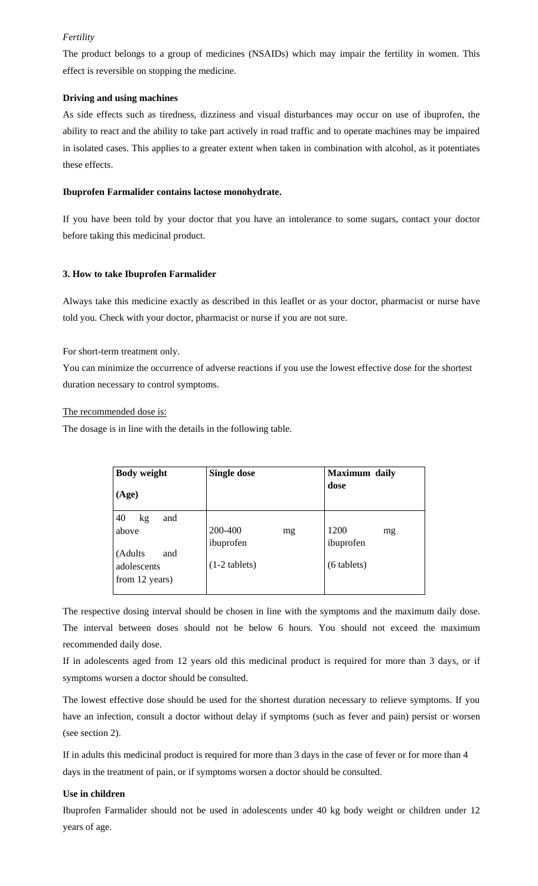### *Fertility*

The product belongs to a group of medicines (NSAIDs) which may impair the fertility in women. This effect is reversible on stopping the medicine.

### **Driving and using machines**

As side effects such as tiredness, dizziness and visual disturbances may occur on use of ibuprofen, the ability to react and the ability to take part actively in road traffic and to operate machines may be impaired in isolated cases. This applies to a greater extent when taken in combination with alcohol, as it potentiates these effects.

#### **Ibuprofen Farmalider contains lactose monohydrate.**

If you have been told by your doctor that you have an intolerance to some sugars, contact your doctor before taking this medicinal product.

### **3. How to take Ibuprofen Farmalider**

Always take this medicine exactly as described in this leaflet or as your doctor, pharmacist or nurse have told you. Check with your doctor, pharmacist or nurse if you are not sure.

For short-term treatment only.

You can minimize the occurrence of adverse reactions if you use the lowest effective dose for the shortest duration necessary to control symptoms.

#### The recommended dose is:

The dosage is in line with the details in the following table.

| <b>Body weight</b><br>(Age)                                                 | <b>Single dose</b>                            | <b>Maximum</b> daily<br>dose             |
|-----------------------------------------------------------------------------|-----------------------------------------------|------------------------------------------|
| 40<br>kg<br>and<br>above<br>(Adults<br>and<br>adolescents<br>from 12 years) | 200-400<br>mg<br>ibuprofen<br>$(1-2$ tablets) | 1200<br>mg<br>ibuprofen<br>$(6$ tablets) |

The respective dosing interval should be chosen in line with the symptoms and the maximum daily dose. The interval between doses should not be below 6 hours. You should not exceed the maximum recommended daily dose.

If in adolescents aged from 12 years old this medicinal product is required for more than 3 days, or if symptoms worsen a doctor should be consulted.

The lowest effective dose should be used for the shortest duration necessary to relieve symptoms. If you have an infection, consult a doctor without delay if symptoms (such as fever and pain) persist or worsen (see section 2).

If in adults this medicinal product is required for more than 3 days in the case of fever or for more than 4 days in the treatment of pain, or if symptoms worsen a doctor should be consulted.

#### **Use in children**

Ibuprofen Farmalider should not be used in adolescents under 40 kg body weight or children under 12 years of age.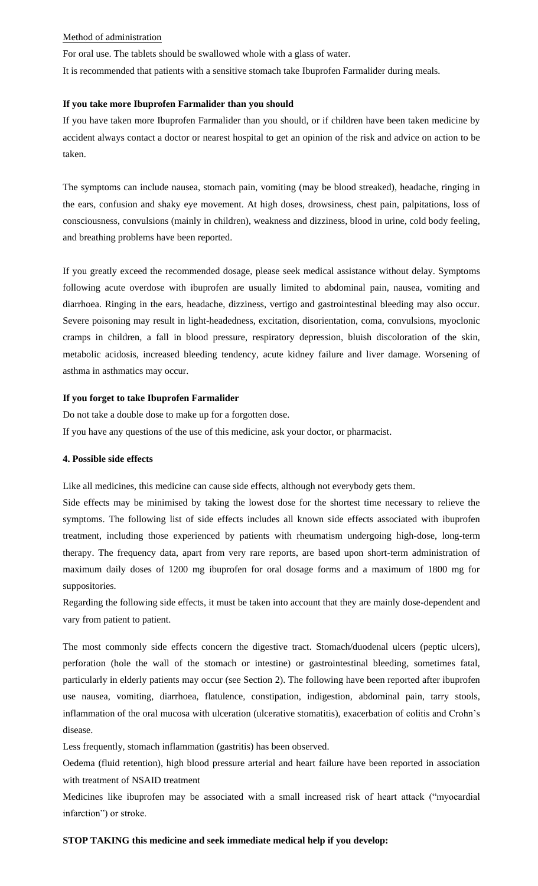#### Method of administration

For oral use. The tablets should be swallowed whole with a glass of water.

It is recommended that patients with a sensitive stomach take Ibuprofen Farmalider during meals.

#### **If you take more Ibuprofen Farmalider than you should**

If you have taken more Ibuprofen Farmalider than you should, or if children have been taken medicine by accident always contact a doctor or nearest hospital to get an opinion of the risk and advice on action to be taken.

The symptoms can include nausea, stomach pain, vomiting (may be blood streaked), headache, ringing in the ears, confusion and shaky eye movement. At high doses, drowsiness, chest pain, palpitations, loss of consciousness, convulsions (mainly in children), weakness and dizziness, blood in urine, cold body feeling, and breathing problems have been reported.

If you greatly exceed the recommended dosage, please seek medical assistance without delay. Symptoms following acute overdose with ibuprofen are usually limited to abdominal pain, nausea, vomiting and diarrhoea. Ringing in the ears, headache, dizziness, vertigo and gastrointestinal bleeding may also occur. Severe poisoning may result in light-headedness, excitation, disorientation, coma, convulsions, myoclonic cramps in children, a fall in blood pressure, respiratory depression, bluish discoloration of the skin, metabolic acidosis, increased bleeding tendency, acute kidney failure and liver damage. Worsening of asthma in asthmatics may occur.

#### **If you forget to take Ibuprofen Farmalider**

Do not take a double dose to make up for a forgotten dose. If you have any questions of the use of this medicine, ask your doctor, or pharmacist.

## **4. Possible side effects**

Like all medicines, this medicine can cause side effects, although not everybody gets them.

Side effects may be minimised by taking the lowest dose for the shortest time necessary to relieve the symptoms. The following list of side effects includes all known side effects associated with ibuprofen treatment, including those experienced by patients with rheumatism undergoing high-dose, long-term therapy. The frequency data, apart from very rare reports, are based upon short-term administration of maximum daily doses of 1200 mg ibuprofen for oral dosage forms and a maximum of 1800 mg for suppositories.

Regarding the following side effects, it must be taken into account that they are mainly dose-dependent and vary from patient to patient.

The most commonly side effects concern the digestive tract. Stomach/duodenal ulcers (peptic ulcers), perforation (hole the wall of the stomach or intestine) or gastrointestinal bleeding, sometimes fatal, particularly in elderly patients may occur (see Section 2). The following have been reported after ibuprofen use nausea, vomiting, diarrhoea, flatulence, constipation, indigestion, abdominal pain, tarry stools, inflammation of the oral mucosa with ulceration (ulcerative stomatitis), exacerbation of colitis and Crohn's disease.

Less frequently, stomach inflammation (gastritis) has been observed.

Oedema (fluid retention), high blood pressure arterial and heart failure have been reported in association with treatment of NSAID treatment

Medicines like ibuprofen may be associated with a small increased risk of heart attack ("myocardial infarction") or stroke.

### **STOP TAKING this medicine and seek immediate medical help if you develop:**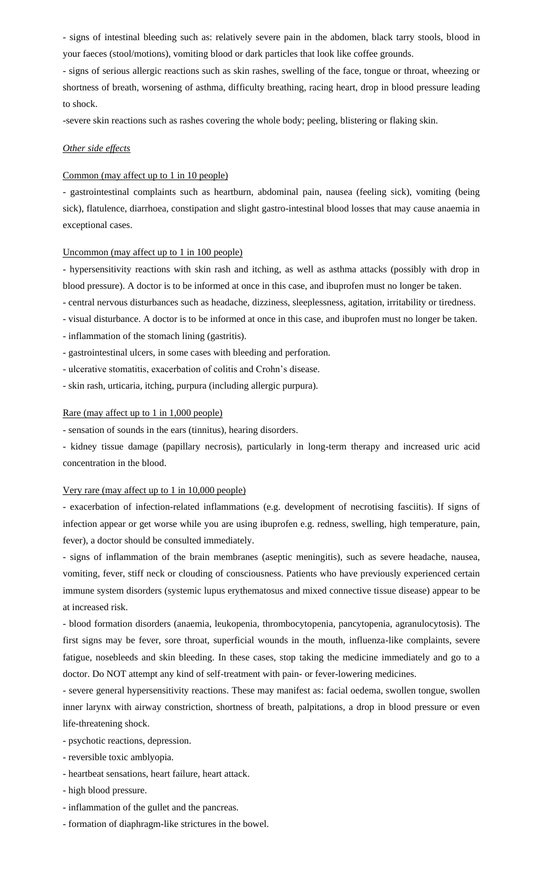- signs of intestinal bleeding such as: relatively severe pain in the abdomen, black tarry stools, blood in your faeces (stool/motions), vomiting blood or dark particles that look like coffee grounds.

- signs of serious allergic reactions such as skin rashes, swelling of the face, tongue or throat, wheezing or shortness of breath, worsening of asthma, difficulty breathing, racing heart, drop in blood pressure leading to shock.

-severe skin reactions such as rashes covering the whole body; peeling, blistering or flaking skin.

### *Other side effects*

### Common (may affect up to 1 in 10 people)

- gastrointestinal complaints such as heartburn, abdominal pain, nausea (feeling sick), vomiting (being sick), flatulence, diarrhoea, constipation and slight gastro-intestinal blood losses that may cause anaemia in exceptional cases.

#### Uncommon (may affect up to 1 in 100 people)

- hypersensitivity reactions with skin rash and itching, as well as asthma attacks (possibly with drop in blood pressure). A doctor is to be informed at once in this case, and ibuprofen must no longer be taken.

- central nervous disturbances such as headache, dizziness, sleeplessness, agitation, irritability or tiredness.
- visual disturbance. A doctor is to be informed at once in this case, and ibuprofen must no longer be taken.
- inflammation of the stomach lining (gastritis).
- gastrointestinal ulcers, in some cases with bleeding and perforation.
- ulcerative stomatitis, exacerbation of colitis and Crohn's disease.
- skin rash, urticaria, itching, purpura (including allergic purpura).

#### Rare (may affect up to 1 in 1,000 people)

- sensation of sounds in the ears (tinnitus), hearing disorders.

- kidney tissue damage (papillary necrosis), particularly in long-term therapy and increased uric acid concentration in the blood.

#### Very rare (may affect up to 1 in 10,000 people)

- exacerbation of infection-related inflammations (e.g. development of necrotising fasciitis). If signs of infection appear or get worse while you are using ibuprofen e.g. redness, swelling, high temperature, pain, fever), a doctor should be consulted immediately.

- signs of inflammation of the brain membranes (aseptic meningitis), such as severe headache, nausea, vomiting, fever, stiff neck or clouding of consciousness. Patients who have previously experienced certain immune system disorders (systemic lupus erythematosus and mixed connective tissue disease) appear to be at increased risk.

- blood formation disorders (anaemia, leukopenia, thrombocytopenia, pancytopenia, agranulocytosis). The first signs may be fever, sore throat, superficial wounds in the mouth, influenza-like complaints, severe fatigue, nosebleeds and skin bleeding. In these cases, stop taking the medicine immediately and go to a doctor. Do NOT attempt any kind of self-treatment with pain- or fever-lowering medicines.

- severe general hypersensitivity reactions. These may manifest as: facial oedema, swollen tongue, swollen inner larynx with airway constriction, shortness of breath, palpitations, a drop in blood pressure or even life-threatening shock.

- psychotic reactions, depression.

- reversible toxic amblyopia.
- heartbeat sensations, heart failure, heart attack.
- high blood pressure.
- inflammation of the gullet and the pancreas.
- formation of diaphragm-like strictures in the bowel.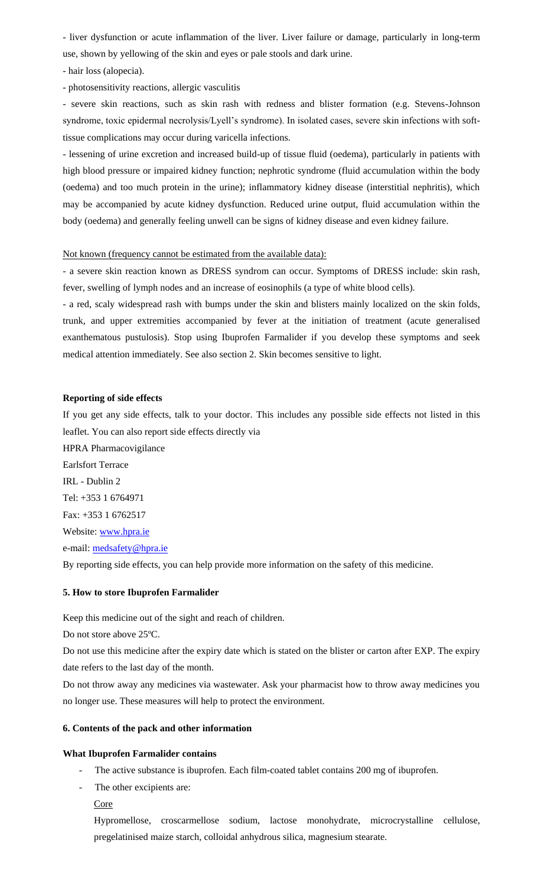- liver dysfunction or acute inflammation of the liver. Liver failure or damage, particularly in long-term use, shown by yellowing of the skin and eyes or pale stools and dark urine.

- hair loss (alopecia).

- photosensitivity reactions, allergic vasculitis

- severe skin reactions, such as skin rash with redness and blister formation (e.g. Stevens-Johnson syndrome, toxic epidermal necrolysis/Lyell's syndrome). In isolated cases, severe skin infections with softtissue complications may occur during varicella infections.

- lessening of urine excretion and increased build-up of tissue fluid (oedema), particularly in patients with high blood pressure or impaired kidney function; nephrotic syndrome (fluid accumulation within the body (oedema) and too much protein in the urine); inflammatory kidney disease (interstitial nephritis), which may be accompanied by acute kidney dysfunction. Reduced urine output, fluid accumulation within the body (oedema) and generally feeling unwell can be signs of kidney disease and even kidney failure.

### Not known (frequency cannot be estimated from the available data):

- a severe skin reaction known as DRESS syndrom can occur. Symptoms of DRESS include: skin rash, fever, swelling of lymph nodes and an increase of eosinophils (a type of white blood cells).

- a red, scaly widespread rash with bumps under the skin and blisters mainly localized on the skin folds, trunk, and upper extremities accompanied by fever at the initiation of treatment (acute generalised exanthematous pustulosis). Stop using Ibuprofen Farmalider if you develop these symptoms and seek medical attention immediately. See also section 2. Skin becomes sensitive to light.

### **Reporting of side effects**

If you get any side effects, talk to your doctor. This includes any possible side effects not listed in this leaflet. You can also report side effects directly via

HPRA Pharmacovigilance Earlsfort Terrace IRL - Dublin 2 Tel: +353 1 6764971 Fax: +353 1 6762517 Website: [www.hpra.ie](http://www.hpra.ie/) e-mail: [medsafety@hpra.ie](mailto:medsafety@hpra.ie)

By reporting side effects, you can help provide more information on the safety of this medicine.

#### **5. How to store Ibuprofen Farmalider**

Keep this medicine out of the sight and reach of children.

Do not store above 25ºC.

Do not use this medicine after the expiry date which is stated on the blister or carton after EXP. The expiry date refers to the last day of the month.

Do not throw away any medicines via wastewater. Ask your pharmacist how to throw away medicines you no longer use. These measures will help to protect the environment.

#### **6. Contents of the pack and other information**

### **What Ibuprofen Farmalider contains**

The active substance is ibuprofen. Each film-coated tablet contains 200 mg of ibuprofen.

- The other excipients are:

**Core** 

Hypromellose, croscarmellose sodium, lactose monohydrate, microcrystalline cellulose, pregelatinised maize starch, colloidal anhydrous silica, magnesium stearate.